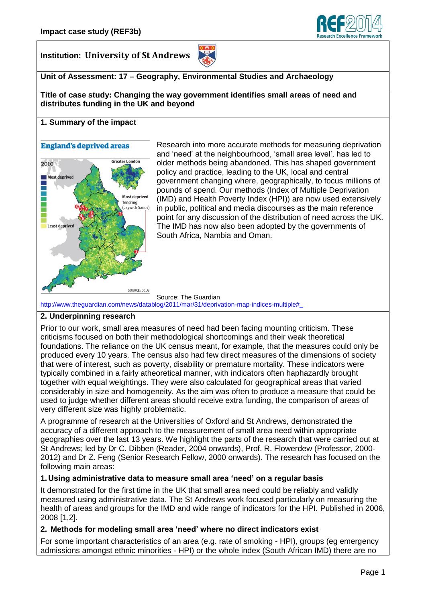

**Institution: University of St Andrews** 



## **Unit of Assessment: 17 – Geography, Environmental Studies and Archaeology**

**Title of case study: Changing the way government identifies small areas of need and distributes funding in the UK and beyond**

#### **1. Summary of the impact**

# **England's deprived areas Greater London** 2010 **Most deprived Most deprived** Tendring<br>(Jaywick Sands) Least deprived SOURCE: DCLG

Research into more accurate methods for measuring deprivation and 'need' at the neighbourhood, 'small area level', has led to older methods being abandoned. This has shaped government policy and practice, leading to the UK, local and central government changing where, geographically, to focus millions of pounds of spend. Our methods (Index of Multiple Deprivation (IMD) and Health Poverty Index (HPI)) are now used extensively in public, political and media discourses as the main reference point for any discussion of the distribution of need across the UK. The IMD has now also been adopted by the governments of South Africa, Nambia and Oman.

Source: The Guardian

[http://www.theguardian.com/news/datablog/2011/mar/31/deprivation-map-indices-multiple#\\_](http://www.theguardian.com/news/datablog/2011/mar/31/deprivation-map-indices-multiple#_)

# **2. Underpinning research**

Prior to our work, small area measures of need had been facing mounting criticism. These criticisms focused on both their methodological shortcomings and their weak theoretical foundations. The reliance on the UK census meant, for example, that the measures could only be produced every 10 years. The census also had few direct measures of the dimensions of society that were of interest, such as poverty, disability or premature mortality. These indicators were typically combined in a fairly atheoretical manner, with indicators often haphazardly brought together with equal weightings. They were also calculated for geographical areas that varied considerably in size and homogeneity. As the aim was often to produce a measure that could be used to judge whether different areas should receive extra funding, the comparison of areas of very different size was highly problematic.

A programme of research at the Universities of Oxford and St Andrews, demonstrated the accuracy of a different approach to the measurement of small area need within appropriate geographies over the last 13 years. We highlight the parts of the research that were carried out at St Andrews; led by Dr C. Dibben (Reader, 2004 onwards), Prof. R. Flowerdew (Professor, 2000- 2012) and Dr Z. Feng (Senior Research Fellow, 2000 onwards). The research has focused on the following main areas:

#### **1. Using administrative data to measure small area 'need' on a regular basis**

It demonstrated for the first time in the UK that small area need could be reliably and validly measured using administrative data. The St Andrews work focused particularly on measuring the health of areas and groups for the IMD and wide range of indicators for the HPI. Published in 2006, 2008 [1,2].

#### **2. Methods for modeling small area 'need' where no direct indicators exist**

For some important characteristics of an area (e.g. rate of smoking - HPI), groups (eg emergency admissions amongst ethnic minorities - HPI) or the whole index (South African IMD) there are no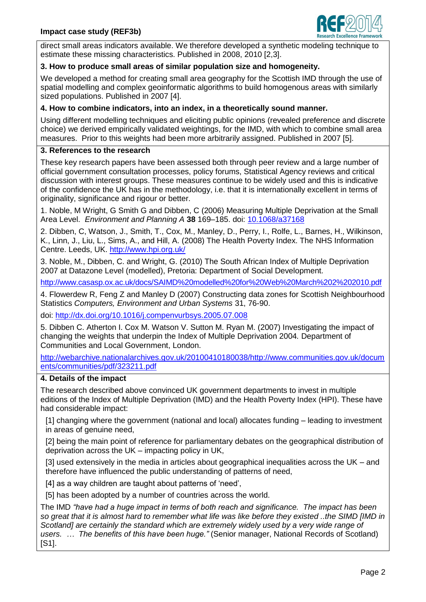

direct small areas indicators available. We therefore developed a synthetic modeling technique to estimate these missing characteristics. Published in 2008, 2010 [2,3].

## **3. How to produce small areas of similar population size and homogeneity.**

We developed a method for creating small area geography for the Scottish IMD through the use of spatial modelling and complex geoinformatic algorithms to build homogenous areas with similarly sized populations. Published in 2007 [4].

# **4. How to combine indicators, into an index, in a theoretically sound manner.**

Using different modelling techniques and eliciting public opinions (revealed preference and discrete choice) we derived empirically validated weightings, for the IMD, with which to combine small area measures. Prior to this weights had been more arbitrarily assigned. Published in 2007 [5].

#### **3. References to the research**

These key research papers have been assessed both through peer review and a large number of official government consultation processes, policy forums, Statistical Agency reviews and critical discussion with interest groups. These measures continue to be widely used and this is indicative of the confidence the UK has in the methodology, i.e. that it is internationally excellent in terms of originality, significance and rigour or better.

1. Noble, M Wright, G Smith G and Dibben, C (2006) Measuring Multiple Deprivation at the Small Area Level. *Environment and Planning A* **38** 169–185. doi: [10.1068/a37168](http://dx.doi.org/10.1068/a37168)

2. Dibben, C, Watson, J., Smith, T., Cox, M., Manley, D., Perry, I., Rolfe, L., Barnes, H., Wilkinson, K., Linn, J., Liu, L., Sims, A., and Hill, A. (2008) The Health Poverty Index. The NHS Information Centre. Leeds, UK. <http://www.hpi.org.uk/>

3. Noble, M., Dibben, C. and Wright, G. (2010) The South African Index of Multiple Deprivation 2007 at Datazone Level (modelled), Pretoria: Department of Social Development.

<http://www.casasp.ox.ac.uk/docs/SAIMD%20modelled%20for%20Web%20March%202%202010.pdf>

4. Flowerdew R, Feng Z and Manley D (2007) Constructing data zones for Scottish Neighbourhood Statistics *Computers, Environment and Urban Systems* 31, 76-90.

doi: <http://dx.doi.org/10.1016/j.compenvurbsys.2005.07.008>

5. Dibben C. Atherton I. Cox M. Watson V. Sutton M. Ryan M. (2007) Investigating the impact of changing the weights that underpin the Index of Multiple Deprivation 2004*.* Department of Communities and Local Government, London.

[http://webarchive.nationalarchives.gov.uk/20100410180038/http://www.communities.gov.uk/docum](http://webarchive.nationalarchives.gov.uk/20100410180038/http:/www.communities.gov.uk/documents/communities/pdf/323211.pdf) [ents/communities/pdf/323211.pdf](http://webarchive.nationalarchives.gov.uk/20100410180038/http:/www.communities.gov.uk/documents/communities/pdf/323211.pdf)

### **4. Details of the impact**

The research described above convinced UK government departments to invest in multiple editions of the Index of Multiple Deprivation (IMD) and the Health Poverty Index (HPI). These have had considerable impact:

[1] changing where the government (national and local) allocates funding – leading to investment in areas of genuine need,

[2] being the main point of reference for parliamentary debates on the geographical distribution of deprivation across the UK – impacting policy in UK,

[3] used extensively in the media in articles about geographical inequalities across the UK – and therefore have influenced the public understanding of patterns of need,

[4] as a way children are taught about patterns of 'need',

[5] has been adopted by a number of countries across the world.

The IMD *"have had a huge impact in terms of both reach and significance. The impact has been so great that it is almost hard to remember what life was like before they existed ..the SIMD [IMD in*  Scotland] are certainly the standard which are extremely widely used by a very wide range of *users. … The benefits of this have been huge."* (Senior manager, National Records of Scotland) [S1].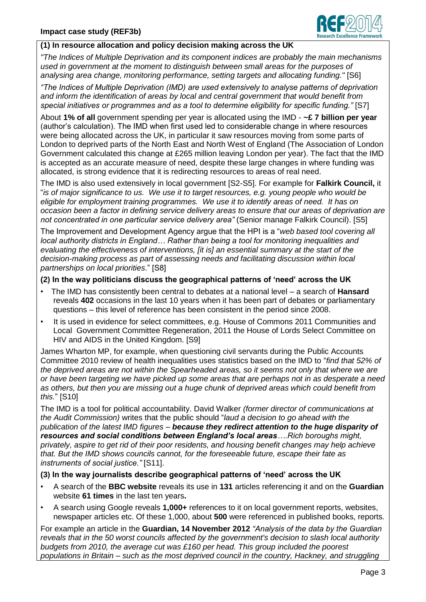

## **(1) In resource allocation and policy decision making across the UK**

*"The Indices of Multiple Deprivation and its component indices are probably the main mechanisms used in government at the moment to distinguish between small areas for the purposes of analysing area change, monitoring performance, setting targets and allocating funding."* [S6]

*"The Indices of Multiple Deprivation (IMD) are used extensively to analyse patterns of deprivation and inform the identification of areas by local and central government that would benefit from special initiatives or programmes and as a tool to determine eligibility for specific funding."* [S7]

About **1% of all** government spending per year is allocated using the IMD - **~£ 7 billion per year**  (author's calculation). The IMD when first used led to considerable change in where resources were being allocated across the UK, in particular it saw resources moving from some parts of London to deprived parts of the North East and North West of England (The Association of London Government calculated this change at £265 million leaving London per year). The fact that the IMD is accepted as an accurate measure of need, despite these large changes in where funding was allocated, is strong evidence that it is redirecting resources to areas of real need.

The IMD is also used extensively in local government [S2-S5]. For example for **Falkirk Council,** it "*is of major significance to us. We use it to target resources, e.g. young people who would be eligible for employment training programmes. We use it to identify areas of need. It has on occasion been a factor in defining service delivery areas to ensure that our areas of deprivation are not concentrated in one particular service delivery area"* (Senior manage Falkirk Council). [S5]

The Improvement and Development Agency argue that the HPI is a "*web based tool covering all local authority districts in England… Rather than being a tool for monitoring inequalities and evaluating the effectiveness of interventions, [it is] an essential summary at the start of the decision-making process as part of assessing needs and facilitating discussion within local partnerships on local priorities*." [S8]

#### **(2) In the way politicians discuss the geographical patterns of 'need' across the UK**

- The IMD has consistently been central to debates at a national level a search of **Hansard**  reveals **402** occasions in the last 10 years when it has been part of debates or parliamentary questions – this level of reference has been consistent in the period since 2008.
- It is used in evidence for select committees, e.g. House of Commons 2011 Communities and Local Government Committee Regeneration, 2011 the House of Lords Select Committee on HIV and AIDS in the United Kingdom. [S9]

James Wharton MP, for example, when questioning civil servants during the Public Accounts Committee 2010 review of health inequalities uses statistics based on the IMD to "*find that 52% of the deprived areas are not within the Spearheaded areas, so it seems not only that where we are or have been targeting we have picked up some areas that are perhaps not in as desperate a need as others, but then you are missing out a huge chunk of deprived areas which could benefit from this.*" [S10]

The IMD is a tool for political accountability. David Walker *(former director of communications at the Audit Commission)* writes that the public should "*laud a decision to go ahead with the publication of the latest IMD figures – because they redirect attention to the huge disparity of resources and social conditions between England's local areas….Rich boroughs might, privately, aspire to get rid of their poor residents, and housing benefit changes may help achieve that. But the IMD shows councils cannot, for the foreseeable future, escape their fate as instruments of social justice."* [S11].

## **(3) In the way journalists describe geographical patterns of 'need' across the UK**

- A search of the **BBC website** reveals its use in **131** articles referencing it and on the **Guardian**  website **61 times** in the last ten years**.**
- A search using Google reveals **1,000+** references to it on local government reports, websites, newspaper articles etc. Of these 1,000, about **500** were referenced in published books, reports.

For example an article in the **Guardian, 14 November 2012** *"Analysis of the data by the Guardian reveals that in the 50 worst councils affected by the government's decision to slash local authority budgets from 2010, the average cut was £160 per head. This group included the poorest populations in Britain – such as the most deprived council in the country, Hackney, and struggling*